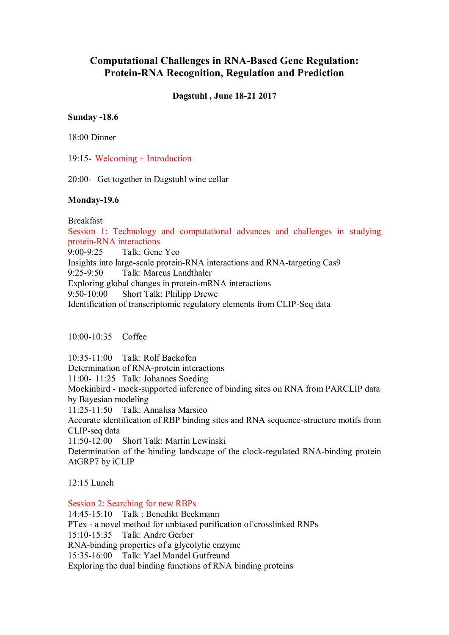# **Computational Challenges in RNA-Based Gene Regulation: Protein-RNA Recognition, Regulation and Prediction**

# **Dagstuhl , June 18-21 2017**

## **Sunday -18.6**

18:00 Dinner

19:15- Welcoming + Introduction

20:00- Get together in Dagstuhl wine cellar

## **Monday-19.6**

Breakfast

Session 1: Technology and computational advances and challenges in studying protein-RNA interactions

9:00-9:25 Talk: Gene Yeo Insights into large-scale protein-RNA interactions and RNA-targeting Cas9 9:25-9:50 Talk: Marcus Landthaler Exploring global changes in protein-mRNA interactions 9:50-10:00 Short Talk: Philipp Drewe Identification of transcriptomic regulatory elements from CLIP-Seq data

10:00-10:35 Coffee

10:35-11:00 Talk: Rolf Backofen Determination of RNA-protein interactions 11:00- 11:25 Talk: Johannes Soeding Mockinbird - mock-supported inference of binding sites on RNA from PARCLIP data by Bayesian modeling 11:25-11:50 Talk: Annalisa Marsico Accurate identification of RBP binding sites and RNA sequence-structure motifs from CLIP-seq data 11:50-12:00 Short Talk: Martin Lewinski Determination of the binding landscape of the clock-regulated RNA-binding protein AtGRP7 by iCLIP

12:15 Lunch

Session 2: Searching for new RBPs 14:45-15:10 Talk : Benedikt Beckmann PTex - a novel method for unbiased purification of crosslinked RNPs 15:10-15:35 Talk: Andre Gerber RNA-binding properties of a glycolytic enzyme 15:35-16:00 Talk: Yael Mandel Gutfreund Exploring the dual binding functions of RNA binding proteins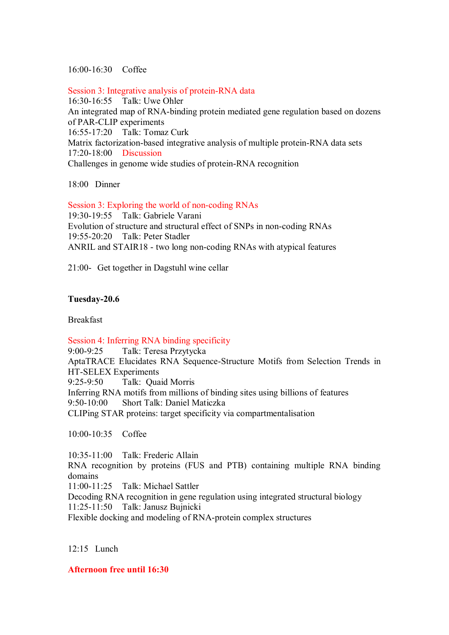# 16:00-16:30 Coffee

Session 3: Integrative analysis of protein-RNA data 16:30-16:55 Talk: Uwe Ohler An integrated map of RNA-binding protein mediated gene regulation based on dozens of PAR-CLIP experiments 16:55-17:20 Talk: Tomaz Curk Matrix factorization-based integrative analysis of multiple protein-RNA data sets 17:20-18:00 Discussion Challenges in genome wide studies of protein-RNA recognition

18:00 Dinner

Session 3: Exploring the world of non-coding RNAs 19:30-19:55 Talk: Gabriele Varani Evolution of structure and structural effect of SNPs in non-coding RNAs 19:55-20:20 Talk: Peter Stadler ANRIL and STAIR18 - two long non-coding RNAs with atypical features

21:00- Get together in Dagstuhl wine cellar

# **Tuesday-20.6**

Breakfast

Session 4: Inferring RNA binding specificity

9:00-9:25 Talk: Teresa Przytycka AptaTRACE Elucidates RNA Sequence-Structure Motifs from Selection Trends in HT-SELEX Experiments 9:25-9:50 Talk: Quaid Morris Inferring RNA motifs from millions of binding sites using billions of features 9:50-10:00 Short Talk: Daniel Maticzka CLIPing STAR proteins: target specificity via compartmentalisation

10:00-10:35 Coffee

10:35-11:00 Talk: Frederic Allain RNA recognition by proteins (FUS and PTB) containing multiple RNA binding domains 11:00-11:25 Talk: Michael Sattler Decoding RNA recognition in gene regulation using integrated structural biology 11:25-11:50 Talk: Janusz Bujnicki

Flexible docking and modeling of RNA-protein complex structures

12:15 Lunch

**Afternoon free until 16:30**